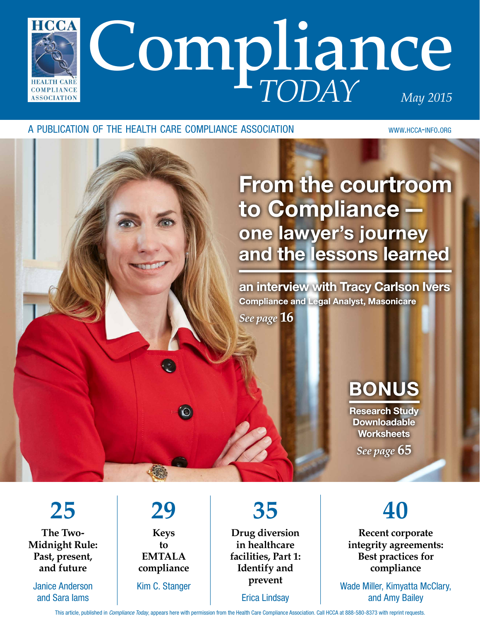

#### A PUBLICATION OF THE HEALTH CARE COMPLIANCE ASSOCIATION WWW.HCCA-INFO.ORG

# From the courtroom to Compliance one lawyer's journey and the lessons learned

an interview with Tracy Carlson Ivers Compliance and Legal Analyst, Masonicare

*See page* **16**

# BONUS

Research Study Downloadable **Worksheets** *See page* **65**

**Recent corporate integrity agreements: Best practices for compliance**

**40**

Wade Miller, Kimyatta McClary, and Amy Bailey

**25 The Two-Midnight Rule: Past, present, and future**

Janice Anderson and Sara Iams

## **29 Keys**

**to EMTALA compliance** Kim C. Stanger

**35 Drug diversion in healthcare facilities, Part 1: Identify and prevent**

Erica Lindsay

This article, published in Compliance Today, appears here with permission from the Health Care Compliance Association. Call HCCA at 888-580-8373 with reprint requests.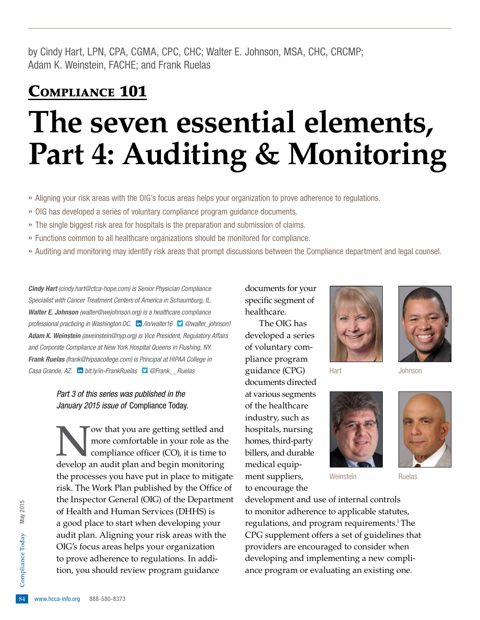by Cindy Hart, LPN, CPA, CGMA, CPC, CHC; Walter E. Johnson, MSA, CHC, CRCMP; Adam K. Weinstein, FACHE; and Frank Ruelas

### COMPLIANCE 101

# **The seven essential elements, Part 4: Auditing & Monitoring**

- » Aligning your risk areas with the OIG's focus areas helps your organization to prove adherence to regulations.
- » OIG has developed a series of voluntary compliance program guidance documents.
- » The single biggest risk area for hospitals is the preparation and submission of claims.
- » Functions common to all healthcare organizations should be monitored for compliance.
- » Auditing and monitoring may identify risk areas that prompt discussions between the Compliance department and legal counsel.

**Cindy Hart** (cindy.hart@ctca-hope.com) is Senior Physician Compliance Specialist with Cancer Treatment Centers of America in Schaumburg, IL. Walter E. Johnson (walter@wejohnson.org) is a healthcare compliance professional practicing in Washington DC.  $\ln$  [/in/walter16](http://www.linkedin.com/in/walter16)  $\Box$  [@walter\\_johnson1](http://twitter.com/walter_johnson1) Adam K. Weinstein (aweinstein@nyp.org) is Vice President, Regulatory Affairs and Corporate Compliance at New York Hospital Queens in Flushing, NY. Frank Ruelas (frank@hipaacollege.com) is Principal at HIPAA College in Casa Grande, AZ. **in** [bit.ly/in-FrankRuelas](http://bit.ly/in-FrankRuelas) **D** @Frank\_ Ruelas

#### Part 3 of this series was published in the January 2015 issue of Compliance Today.

to prove adherence to regulations. In addition, you should review program guidance 'ow that you are getting settled and more comfortable in your role as the compliance officer  $(CO)$ , it is time to develop an audit plan and begin monitoring the processes you have put in place to mitigate risk. The Work Plan published by the Office of the Inspector General (OIG) of the Department of Health and Human Services (DHHS) is a good place to start when developing your audit plan. Aligning your risk areas with the OIG's focus areas helps your organization tion, you should review program guidance

documents for your specific segment of healthcare.

The OIG has developed a series of voluntary compliance program guidance (CPG) documents directed at various segments of the healthcare industry, such as hospitals, nursing homes, third-party billers, and durable medical equipment suppliers, to encourage the





Hart Johnson



Weinstein **Ruelas** 



development and use of internal controls to monitor adherence to applicable statutes, regulations, and program requirements.<sup>1</sup> The CPG supplement offers a set of guidelines that providers are encouraged to consider when developing and implementing a new compliance program or evaluating an existing one.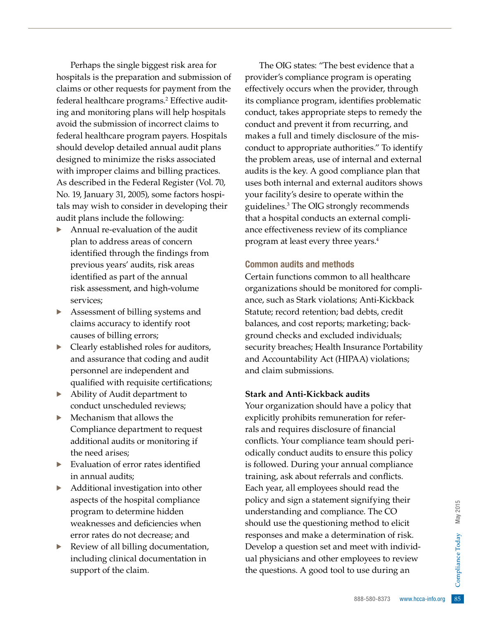Perhaps the single biggest risk area for hospitals is the preparation and submission of claims or other requests for payment from the federal healthcare programs.<sup>2</sup> Effective auditing and monitoring plans will help hospitals avoid the submission of incorrect claims to federal healthcare program payers. Hospitals should develop detailed annual audit plans designed to minimize the risks associated with improper claims and billing practices. As described in the Federal Register (Vol. 70, No. 19, January 31, 2005), some factors hospitals may wish to consider in developing their audit plans include the following:

- · Annual re-evaluation of the audit plan to address areas of concern identified through the findings from previous years' audits, risk areas identifed as part of the annual risk assessment, and high-volume services;
- Assessment of billing systems and claims accuracy to identify root causes of billing errors;
- Clearly established roles for auditors, and assurance that coding and audit personnel are independent and qualified with requisite certifications;
- · Ability of Audit department to conduct unscheduled reviews;
- · Mechanism that allows the Compliance department to request additional audits or monitoring if the need arises;
- Evaluation of error rates identified in annual audits;
- Additional investigation into other aspects of the hospital compliance program to determine hidden weaknesses and deficiencies when error rates do not decrease; and
- Review of all billing documentation, including clinical documentation in support of the claim.

The OIG states: "The best evidence that a provider's compliance program is operating effectively occurs when the provider, through its compliance program, identifies problematic conduct, takes appropriate steps to remedy the conduct and prevent it from recurring, and makes a full and timely disclosure of the misconduct to appropriate authorities." To identify the problem areas, use of internal and external audits is the key. A good compliance plan that uses both internal and external auditors shows your facility's desire to operate within the guidelines.3 The OIG strongly recommends that a hospital conducts an external compliance effectiveness review of its compliance program at least every three years.4

#### Common audits and methods

Certain functions common to all healthcare organizations should be monitored for compliance, such as Stark violations; Anti-Kickback Statute; record retention; bad debts, credit balances, and cost reports; marketing; background checks and excluded individuals; security breaches; Health Insurance Portability and Accountability Act (HIPAA) violations; and claim submissions.

#### **Stark and Anti-Kickback audits**

Buying their<br>
nce. The CO<br>
method to elicit<br>
mination of risk.<br>
meet with individ-<br>
ployees to review<br>
buse during an<br>
as a section of the set of the set of the set of the set of the set of the set of the set of the set of Your organization should have a policy that explicitly prohibits remuneration for referrals and requires disclosure of fnancial conficts. Your compliance team should periodically conduct audits to ensure this policy is followed. During your annual compliance training, ask about referrals and conficts. Each year, all employees should read the policy and sign a statement signifying their understanding and compliance. The CO should use the questioning method to elicit responses and make a determination of risk. Develop a question set and meet with individual physicians and other employees to review the questions. A good tool to use during an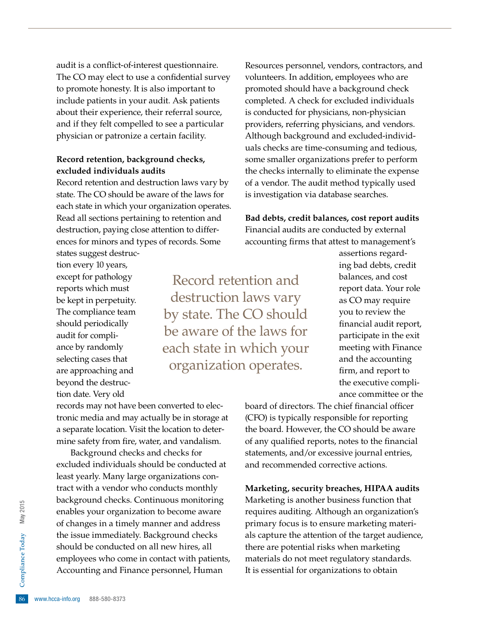audit is a confict-of-interest questionnaire. The CO may elect to use a confidential survey to promote honesty. It is also important to include patients in your audit. Ask patients about their experience, their referral source, and if they felt compelled to see a particular physician or patronize a certain facility.

#### **Record retention, background checks, excluded individuals audits**

Record retention and destruction laws vary by state. The CO should be aware of the laws for each state in which your organization operates. Read all sections pertaining to retention and destruction, paying close attention to differences for minors and types of records. Some states suggest destruc-

tion every 10 years, except for pathology reports which must be kept in perpetuity. The compliance team should periodically audit for compliance by randomly selecting cases that are approaching and beyond the destruction date. Very old

Record retention and destruction laws vary by state. The CO should be aware of the laws for each state in which your organization operates.

Resources personnel, vendors, contractors, and volunteers. In addition, employees who are promoted should have a background check completed. A check for excluded individuals is conducted for physicians, non-physician providers, referring physicians, and vendors. Although background and excluded-individuals checks are time-consuming and tedious, some smaller organizations prefer to perform the checks internally to eliminate the expense of a vendor. The audit method typically used is investigation via database searches.

#### **Bad debts, credit balances, cost report audits** Financial audits are conducted by external

accounting frms that attest to management's

assertions regarding bad debts, credit balances, and cost report data. Your role as CO may require you to review the fnancial audit report, participate in the exit meeting with Finance and the accounting firm, and report to the executive compliance committee or the

records may not have been converted to electronic media and may actually be in storage at a separate location. Visit the location to determine safety from fire, water, and vandalism.

employees who come in contact with patients,<br>Accounting and Finance personnel, Human<br>  $\frac{6}{5}$ <br>
Examples www.hcca-info.org 888-580-8373 Background checks and checks for excluded individuals should be conducted at least yearly. Many large organizations contract with a vendor who conducts monthly background checks. Continuous monitoring enables your organization to become aware of changes in a timely manner and address the issue immediately. Background checks should be conducted on all new hires, all Accounting and Finance personnel, Human

board of directors. The chief financial officer (CFO) is typically responsible for reporting the board. However, the CO should be aware of any qualifed reports, notes to the fnancial statements, and/or excessive journal entries, and recommended corrective actions.

#### **Marketing, security breaches, HIPAA audits**

Marketing is another business function that requires auditing. Although an organization's primary focus is to ensure marketing materials capture the attention of the target audience, there are potential risks when marketing materials do not meet regulatory standards. It is essential for organizations to obtain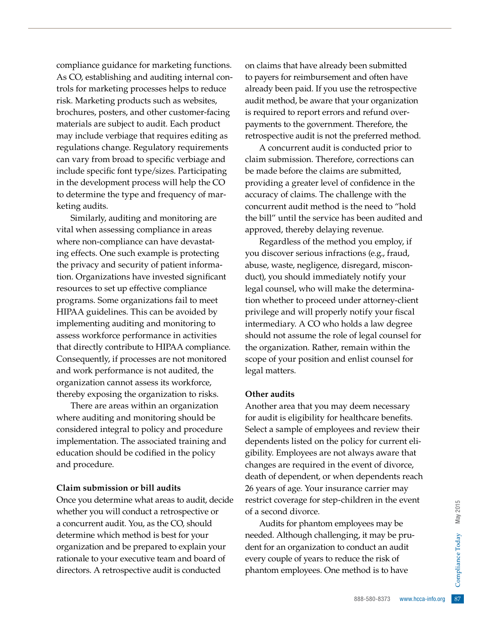compliance guidance for marketing functions. As CO, establishing and auditing internal controls for marketing processes helps to reduce risk. Marketing products such as websites, brochures, posters, and other customer-facing materials are subject to audit. Each product may include verbiage that requires editing as regulations change. Regulatory requirements can vary from broad to specific verbiage and include specific font type/sizes. Participating in the development process will help the CO to determine the type and frequency of marketing audits.

Similarly, auditing and monitoring are vital when assessing compliance in areas where non-compliance can have devastating effects. One such example is protecting the privacy and security of patient information. Organizations have invested significant resources to set up effective compliance programs. Some organizations fail to meet HIPAA guidelines. This can be avoided by implementing auditing and monitoring to assess workforce performance in activities that directly contribute to HIPAA compliance. Consequently, if processes are not monitored and work performance is not audited, the organization cannot assess its workforce, thereby exposing the organization to risks.

There are areas within an organization where auditing and monitoring should be considered integral to policy and procedure implementation. The associated training and education should be codified in the policy and procedure.

#### **Claim submission or bill audits**

Once you determine what areas to audit, decide whether you will conduct a retrospective or a concurrent audit. You, as the CO, should determine which method is best for your organization and be prepared to explain your rationale to your executive team and board of directors. A retrospective audit is conducted

on claims that have already been submitted to payers for reimbursement and often have already been paid. If you use the retrospective audit method, be aware that your organization is required to report errors and refund overpayments to the government. Therefore, the retrospective audit is not the preferred method.

A concurrent audit is conducted prior to claim submission. Therefore, corrections can be made before the claims are submitted, providing a greater level of confidence in the accuracy of claims. The challenge with the concurrent audit method is the need to "hold the bill" until the service has been audited and approved, thereby delaying revenue.

Regardless of the method you employ, if you discover serious infractions (e.g., fraud, abuse, waste, negligence, disregard, misconduct), you should immediately notify your legal counsel, who will make the determination whether to proceed under attorney-client privilege and will properly notify your fiscal intermediary. A CO who holds a law degree should not assume the role of legal counsel for the organization. Rather, remain within the scope of your position and enlist counsel for legal matters.

#### **Other audits**

Another area that you may deem necessary for audit is eligibility for healthcare benefits. Select a sample of employees and review their dependents listed on the policy for current eligibility. Employees are not always aware that changes are required in the event of divorce, death of dependent, or when dependents reach 26 years of age. Your insurance carrier may restrict coverage for step-children in the event of a second divorce.

Example 1 at the risk of<br>thod is to have<br>888-580-8373 www.hcca-info.org 87 Audits for phantom employees may be needed. Although challenging, it may be prudent for an organization to conduct an audit every couple of years to reduce the risk of phantom employees. One method is to have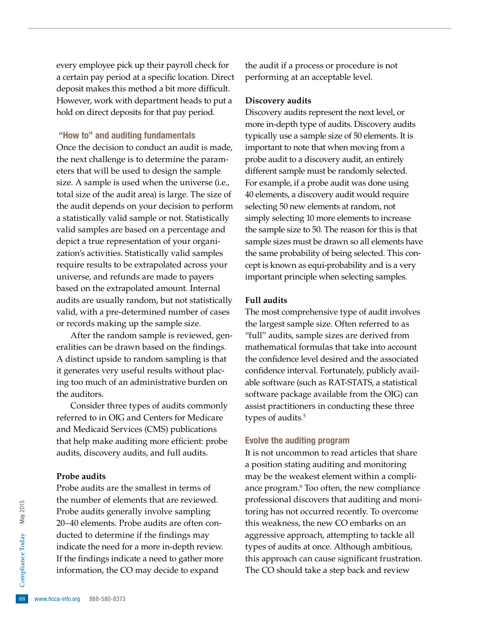every employee pick up their payroll check for a certain pay period at a specific location. Direct deposit makes this method a bit more difficult. However, work with department heads to put a hold on direct deposits for that pay period.

#### "How to" and auditing fundamentals

Once the decision to conduct an audit is made, the next challenge is to determine the parameters that will be used to design the sample size. A sample is used when the universe (i.e., total size of the audit area) is large. The size of the audit depends on your decision to perform a statistically valid sample or not. Statistically valid samples are based on a percentage and depict a true representation of your organization's activities. Statistically valid samples require results to be extrapolated across your universe, and refunds are made to payers based on the extrapolated amount. Internal audits are usually random, but not statistically valid, with a pre-determined number of cases or records making up the sample size.

After the random sample is reviewed, generalities can be drawn based on the findings. A distinct upside to random sampling is that it generates very useful results without placing too much of an administrative burden on the auditors.

Consider three types of audits commonly referred to in OIG and Centers for Medicare and Medicaid Services (CMS) publications that help make auditing more efficient: probe audits, discovery audits, and full audits.

#### **Probe audits**

Example 11 If the findings indi<br>information, the C<br>88 www.hcca-info.org 888-580-8373 Probe audits are the smallest in terms of the number of elements that are reviewed. Probe audits generally involve sampling 20–40 elements. Probe audits are often conducted to determine if the findings may indicate the need for a more in-depth review. If the fndings indicate a need to gather more information, the CO may decide to expand

the audit if a process or procedure is not performing at an acceptable level.

#### **Discovery audits**

Discovery audits represent the next level, or more in-depth type of audits. Discovery audits typically use a sample size of 50 elements. It is important to note that when moving from a probe audit to a discovery audit, an entirely different sample must be randomly selected. For example, if a probe audit was done using 40 elements, a discovery audit would require selecting 50 new elements at random, not simply selecting 10 more elements to increase the sample size to 50. The reason for this is that sample sizes must be drawn so all elements have the same probability of being selected. This concept is known as equi-probability and is a very important principle when selecting samples.

#### **Full audits**

The most comprehensive type of audit involves the largest sample size. Often referred to as "full" audits, sample sizes are derived from mathematical formulas that take into account the confidence level desired and the associated confidence interval. Fortunately, publicly available software (such as RAT-STATS, a statistical software package available from the OIG) can assist practitioners in conducting these three types of audits.<sup>5</sup>

#### Evolve the auditing program

It is not uncommon to read articles that share a position stating auditing and monitoring may be the weakest element within a compliance program.<sup>6</sup> Too often, the new compliance professional discovers that auditing and monitoring has not occurred recently. To overcome this weakness, the new CO embarks on an aggressive approach, attempting to tackle all types of audits at once. Although ambitious, this approach can cause significant frustration. The CO should take a step back and review